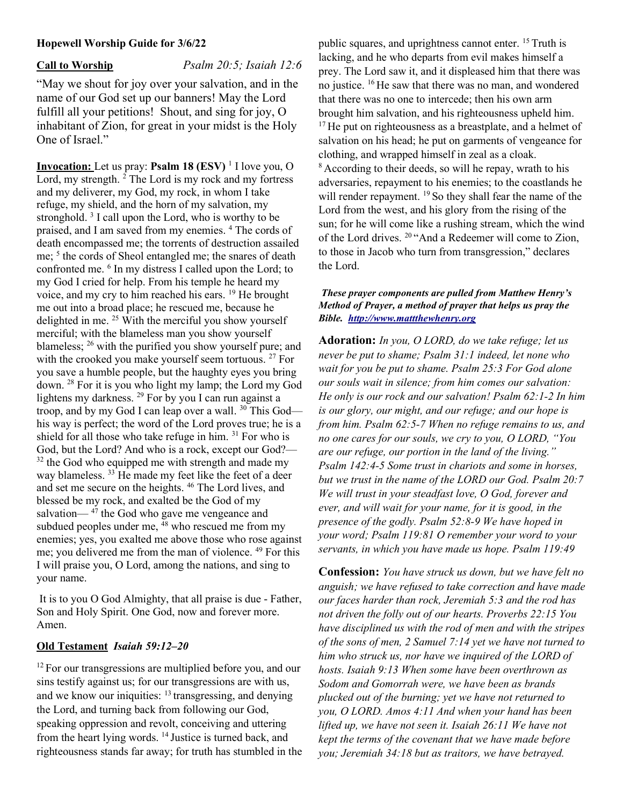#### Hopewell Worship Guide for 3/6/22

Call to Worship Psalm 20:5; Isaiah 12:6

"May we shout for joy over your salvation, and in the name of our God set up our banners! May the Lord fulfill all your petitions! Shout, and sing for joy, O inhabitant of Zion, for great in your midst is the Holy One of Israel."

**Invocation:** Let us pray: **Psalm 18 (ESV)** <sup>1</sup> I love you, O Lord, my strength. <sup>2</sup> The Lord is my rock and my fortress and my deliverer, my God, my rock, in whom I take refuge, my shield, and the horn of my salvation, my stronghold.<sup>3</sup> I call upon the Lord, who is worthy to be praised, and I am saved from my enemies.<sup>4</sup> The cords of death encompassed me; the torrents of destruction assailed me; <sup>5</sup> the cords of Sheol entangled me; the snares of death confronted me. <sup>6</sup> In my distress I called upon the Lord; to my God I cried for help. From his temple he heard my voice, and my cry to him reached his ears. <sup>19</sup> He brought me out into a broad place; he rescued me, because he delighted in me.  $25$  With the merciful you show yourself merciful; with the blameless man you show yourself blameless; <sup>26</sup> with the purified you show yourself pure; and with the crooked you make yourself seem tortuous. <sup>27</sup> For you save a humble people, but the haughty eyes you bring down. <sup>28</sup> For it is you who light my lamp; the Lord my God lightens my darkness. <sup>29</sup> For by you I can run against a troop, and by my God I can leap over a wall. <sup>30</sup> This God his way is perfect; the word of the Lord proves true; he is a shield for all those who take refuge in him. <sup>31</sup> For who is God, but the Lord? And who is a rock, except our God?—  $32$  the God who equipped me with strength and made my way blameless. <sup>33</sup> He made my feet like the feet of a deer and set me secure on the heights. <sup>46</sup> The Lord lives, and blessed be my rock, and exalted be the God of my salvation— $47$  the God who gave me vengeance and subdued peoples under me,  $48$  who rescued me from my enemies; yes, you exalted me above those who rose against me; you delivered me from the man of violence. <sup>49</sup> For this I will praise you, O Lord, among the nations, and sing to your name.

 It is to you O God Almighty, that all praise is due - Father, Son and Holy Spirit. One God, now and forever more. Amen.

# Old Testament Isaiah 59:12–20

 $12$  For our transgressions are multiplied before you, and our sins testify against us; for our transgressions are with us, and we know our iniquities:  $13$  transgressing, and denying the Lord, and turning back from following our God, speaking oppression and revolt, conceiving and uttering from the heart lying words. <sup>14</sup> Justice is turned back, and righteousness stands far away; for truth has stumbled in the public squares, and uprightness cannot enter. <sup>15</sup> Truth is lacking, and he who departs from evil makes himself a prey. The Lord saw it, and it displeased him that there was no justice. <sup>16</sup>He saw that there was no man, and wondered that there was no one to intercede; then his own arm brought him salvation, and his righteousness upheld him. <sup>17</sup>He put on righteousness as a breastplate, and a helmet of salvation on his head; he put on garments of vengeance for clothing, and wrapped himself in zeal as a cloak. <sup>8</sup> According to their deeds, so will he repay, wrath to his adversaries, repayment to his enemies; to the coastlands he will render repayment. <sup>19</sup> So they shall fear the name of the Lord from the west, and his glory from the rising of the sun; for he will come like a rushing stream, which the wind of the Lord drives. <sup>20</sup>"And a Redeemer will come to Zion, to those in Jacob who turn from transgression," declares the Lord.

### These prayer components are pulled from Matthew Henry's Method of Prayer, a method of prayer that helps us pray the Bible. http://www.mattthewhenry.org

Adoration: In you, O LORD, do we take refuge; let us never be put to shame; Psalm 31:1 indeed, let none who wait for you be put to shame. Psalm 25:3 For God alone our souls wait in silence; from him comes our salvation: He only is our rock and our salvation! Psalm 62:1-2 In him is our glory, our might, and our refuge; and our hope is from him. Psalm 62:5-7 When no refuge remains to us, and no one cares for our souls, we cry to you, O LORD, "You are our refuge, our portion in the land of the living." Psalm 142:4-5 Some trust in chariots and some in horses, but we trust in the name of the LORD our God. Psalm 20:7 We will trust in your steadfast love, O God, forever and ever, and will wait for your name, for it is good, in the presence of the godly. Psalm 52:8-9 We have hoped in your word; Psalm 119:81 O remember your word to your servants, in which you have made us hope. Psalm 119:49

Confession: You have struck us down, but we have felt no anguish; we have refused to take correction and have made our faces harder than rock, Jeremiah 5:3 and the rod has not driven the folly out of our hearts. Proverbs 22:15 You have disciplined us with the rod of men and with the stripes of the sons of men, 2 Samuel 7:14 yet we have not turned to him who struck us, nor have we inquired of the LORD of hosts. Isaiah 9:13 When some have been overthrown as Sodom and Gomorrah were, we have been as brands plucked out of the burning; yet we have not returned to you, O LORD. Amos 4:11 And when your hand has been lifted up, we have not seen it. Isaiah 26:11 We have not kept the terms of the covenant that we have made before you; Jeremiah 34:18 but as traitors, we have betrayed.